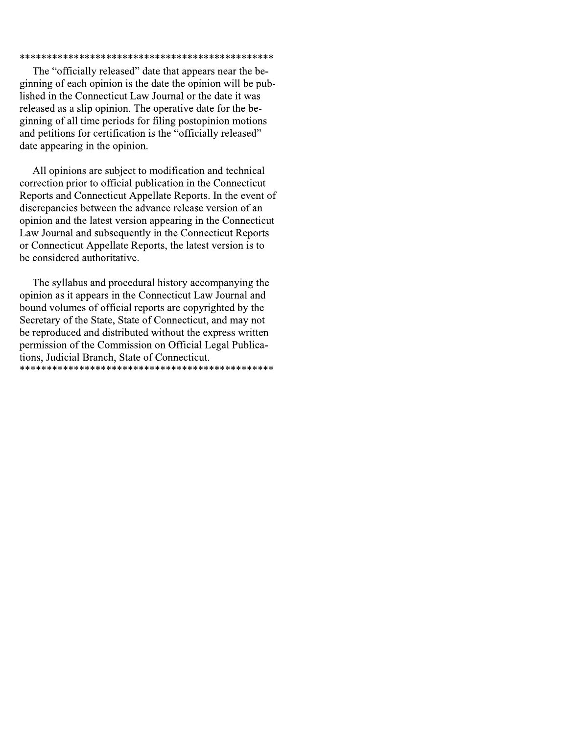## 

The "officially released" date that appears near the beginning of each opinion is the date the opinion will be published in the Connecticut Law Journal or the date it was released as a slip opinion. The operative date for the beginning of all time periods for filing postopinion motions and petitions for certification is the "officially released" date appearing in the opinion.

All opinions are subject to modification and technical correction prior to official publication in the Connecticut Reports and Connecticut Appellate Reports. In the event of discrepancies between the advance release version of an opinion and the latest version appearing in the Connecticut Law Journal and subsequently in the Connecticut Reports or Connecticut Appellate Reports, the latest version is to be considered authoritative.

The syllabus and procedural history accompanying the opinion as it appears in the Connecticut Law Journal and bound volumes of official reports are copyrighted by the Secretary of the State, State of Connecticut, and may not be reproduced and distributed without the express written permission of the Commission on Official Legal Publications, Judicial Branch, State of Connecticut.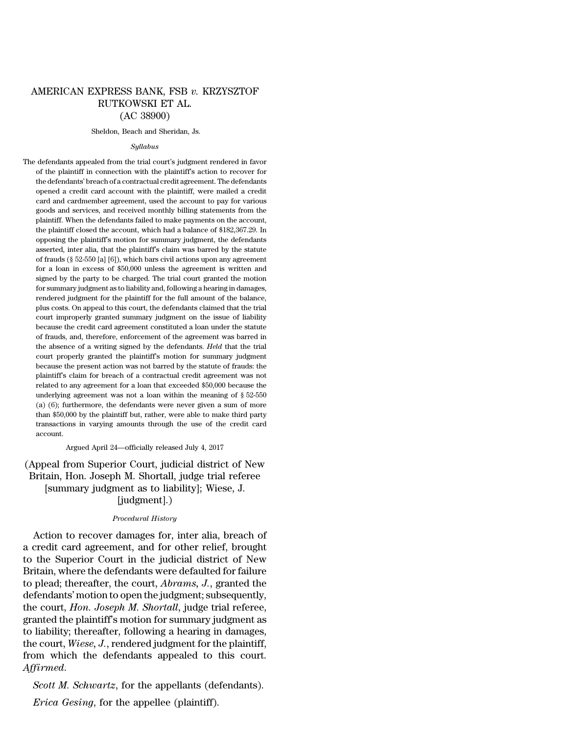# AMERICAN EXPRESS BANK, FSB *v.* KRZYSZTOF RUTKOWSKI ET AL. (AC 38900)

### Sheldon, Beach and Sheridan, Js.

#### *Syllabus*

The defendants appealed from the trial court's judgment rendered in favor of the plaintiff in connection with the plaintiff's action to recover for the defendants' breach of a contractual credit agreement. The defendants opened a credit card account with the plaintiff, were mailed a credit card and cardmember agreement, used the account to pay for various goods and services, and received monthly billing statements from the plaintiff. When the defendants failed to make payments on the account, the plaintiff closed the account, which had a balance of \$182,367.29. In opposing the plaintiff's motion for summary judgment, the defendants asserted, inter alia, that the plaintiff's claim was barred by the statute of frauds (§ 52-550 [a] [6]), which bars civil actions upon any agreement for a loan in excess of \$50,000 unless the agreement is written and signed by the party to be charged. The trial court granted the motion for summary judgment as to liability and, following a hearing in damages, rendered judgment for the plaintiff for the full amount of the balance, plus costs. On appeal to this court, the defendants claimed that the trial court improperly granted summary judgment on the issue of liability because the credit card agreement constituted a loan under the statute of frauds, and, therefore, enforcement of the agreement was barred in the absence of a writing signed by the defendants. *Held* that the trial court properly granted the plaintiff's motion for summary judgment because the present action was not barred by the statute of frauds: the plaintiff's claim for breach of a contractual credit agreement was not related to any agreement for a loan that exceeded \$50,000 because the underlying agreement was not a loan within the meaning of § 52-550 (a) (6); furthermore, the defendants were never given a sum of more than \$50,000 by the plaintiff but, rather, were able to make third party transactions in varying amounts through the use of the credit card account.

Argued April 24—officially released July 4, 2017

(Appeal from Superior Court, judicial district of New Britain, Hon. Joseph M. Shortall, judge trial referee [summary judgment as to liability]; Wiese, J. [judgment].)

## *Procedural History*

Action to recover damages for, inter alia, breach of a credit card agreement, and for other relief, brought to the Superior Court in the judicial district of New Britain, where the defendants were defaulted for failure to plead; thereafter, the court, *Abrams, J.*, granted the defendants' motion to open the judgment; subsequently, the court, *Hon. Joseph M. Shortall*, judge trial referee, granted the plaintiff's motion for summary judgment as to liability; thereafter, following a hearing in damages, the court, *Wiese, J.*, rendered judgment for the plaintiff, from which the defendants appealed to this court. *Affirmed*.

*Scott M. Schwartz*, for the appellants (defendants).

*Erica Gesing*, for the appellee (plaintiff).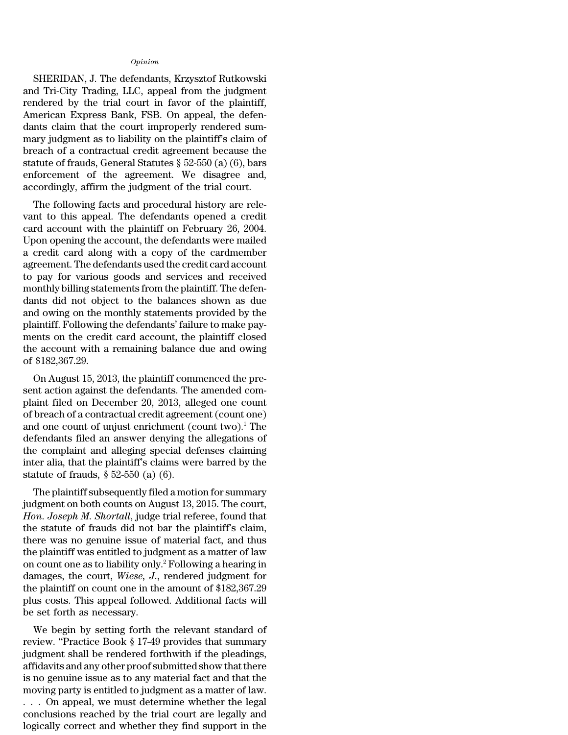## *Opinion*

SHERIDAN, J. The defendants, Krzysztof Rutkowski and Tri-City Trading, LLC, appeal from the judgment rendered by the trial court in favor of the plaintiff, American Express Bank, FSB. On appeal, the defendants claim that the court improperly rendered summary judgment as to liability on the plaintiff's claim of breach of a contractual credit agreement because the statute of frauds, General Statutes § 52-550 (a) (6), bars enforcement of the agreement. We disagree and, accordingly, affirm the judgment of the trial court.

The following facts and procedural history are relevant to this appeal. The defendants opened a credit card account with the plaintiff on February 26, 2004. Upon opening the account, the defendants were mailed a credit card along with a copy of the cardmember agreement. The defendants used the credit card account to pay for various goods and services and received monthly billing statements from the plaintiff. The defendants did not object to the balances shown as due and owing on the monthly statements provided by the plaintiff. Following the defendants' failure to make payments on the credit card account, the plaintiff closed the account with a remaining balance due and owing of \$182,367.29.

On August 15, 2013, the plaintiff commenced the present action against the defendants. The amended complaint filed on December 20, 2013, alleged one count of breach of a contractual credit agreement (count one) and one count of unjust enrichment (count two).<sup>1</sup> The defendants filed an answer denying the allegations of the complaint and alleging special defenses claiming inter alia, that the plaintiff's claims were barred by the statute of frauds, § 52-550 (a) (6).

The plaintiff subsequently filed a motion for summary judgment on both counts on August 13, 2015. The court, *Hon. Joseph M. Shortall*, judge trial referee, found that the statute of frauds did not bar the plaintiff's claim, there was no genuine issue of material fact, and thus the plaintiff was entitled to judgment as a matter of law on count one as to liability only.<sup>2</sup> Following a hearing in damages, the court, *Wiese, J*., rendered judgment for the plaintiff on count one in the amount of \$182,367.29 plus costs. This appeal followed. Additional facts will be set forth as necessary.

We begin by setting forth the relevant standard of review. ''Practice Book § 17-49 provides that summary judgment shall be rendered forthwith if the pleadings, affidavits and any other proof submitted show that there is no genuine issue as to any material fact and that the moving party is entitled to judgment as a matter of law. . . . On appeal, we must determine whether the legal conclusions reached by the trial court are legally and logically correct and whether they find support in the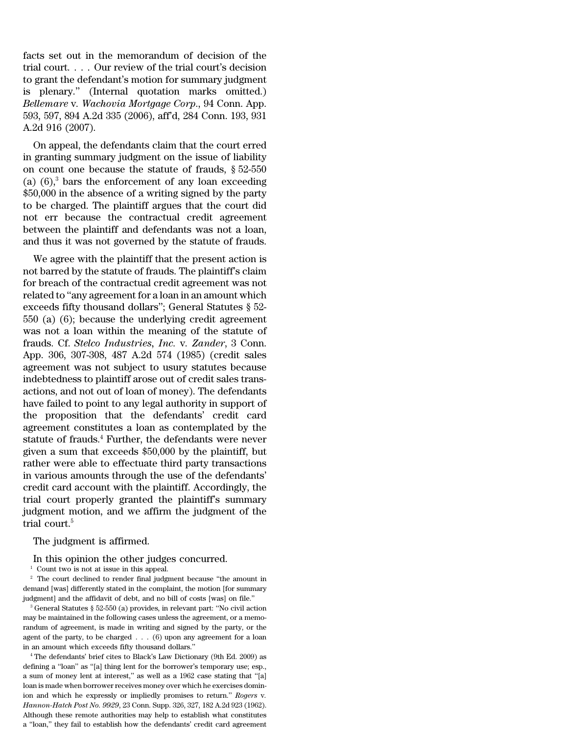facts set out in the memorandum of decision of the trial court. . . . Our review of the trial court's decision to grant the defendant's motion for summary judgment is plenary.'' (Internal quotation marks omitted.) *Bellemare* v*. Wachovia Mortgage Corp*., 94 Conn. App. 593, 597, 894 A.2d 335 (2006), aff'd, 284 Conn. 193, 931 A.2d 916 (2007).

On appeal, the defendants claim that the court erred in granting summary judgment on the issue of liability on count one because the statute of frauds, § 52-550 (a)  $(6)$ ,<sup>3</sup> bars the enforcement of any loan exceeding \$50,000 in the absence of a writing signed by the party to be charged. The plaintiff argues that the court did not err because the contractual credit agreement between the plaintiff and defendants was not a loan, and thus it was not governed by the statute of frauds.

We agree with the plaintiff that the present action is not barred by the statute of frauds. The plaintiff's claim for breach of the contractual credit agreement was not related to ''any agreement for a loan in an amount which exceeds fifty thousand dollars''; General Statutes § 52- 550 (a) (6); because the underlying credit agreement was not a loan within the meaning of the statute of frauds. Cf. *Stelco Industries, Inc.* v*. Zander*, 3 Conn. App. 306, 307-308, 487 A.2d 574 (1985) (credit sales agreement was not subject to usury statutes because indebtedness to plaintiff arose out of credit sales transactions, and not out of loan of money). The defendants have failed to point to any legal authority in support of the proposition that the defendants' credit card agreement constitutes a loan as contemplated by the statute of frauds.<sup>4</sup> Further, the defendants were never given a sum that exceeds \$50,000 by the plaintiff, but rather were able to effectuate third party transactions in various amounts through the use of the defendants' credit card account with the plaintiff. Accordingly, the trial court properly granted the plaintiff's summary judgment motion, and we affirm the judgment of the trial court.<sup>5</sup>

The judgment is affirmed.

In this opinion the other judges concurred.

<sup>1</sup> Count two is not at issue in this appeal.

 $2\degree$  The court declined to render final judgment because "the amount in demand [was] differently stated in the complaint, the motion [for summary judgment] and the affidavit of debt, and no bill of costs [was] on file.''

<sup>3</sup> General Statutes § 52-550 (a) provides, in relevant part: ''No civil action may be maintained in the following cases unless the agreement, or a memorandum of agreement, is made in writing and signed by the party, or the agent of the party, to be charged  $\dots$  (6) upon any agreement for a loan in an amount which exceeds fifty thousand dollars.''

<sup>4</sup> The defendants' brief cites to Black's Law Dictionary (9th Ed. 2009) as defining a ''loan'' as ''[a] thing lent for the borrower's temporary use; esp., a sum of money lent at interest,'' as well as a 1962 case stating that ''[a] loan is made when borrower receives money over which he exercises dominion and which he expressly or impliedly promises to return.'' *Rogers* v*. Hannon-Hatch Post No. 9929*, 23 Conn. Supp. 326, 327, 182 A.2d 923 (1962). Although these remote authorities may help to establish what constitutes a ''loan,'' they fail to establish how the defendants' credit card agreement